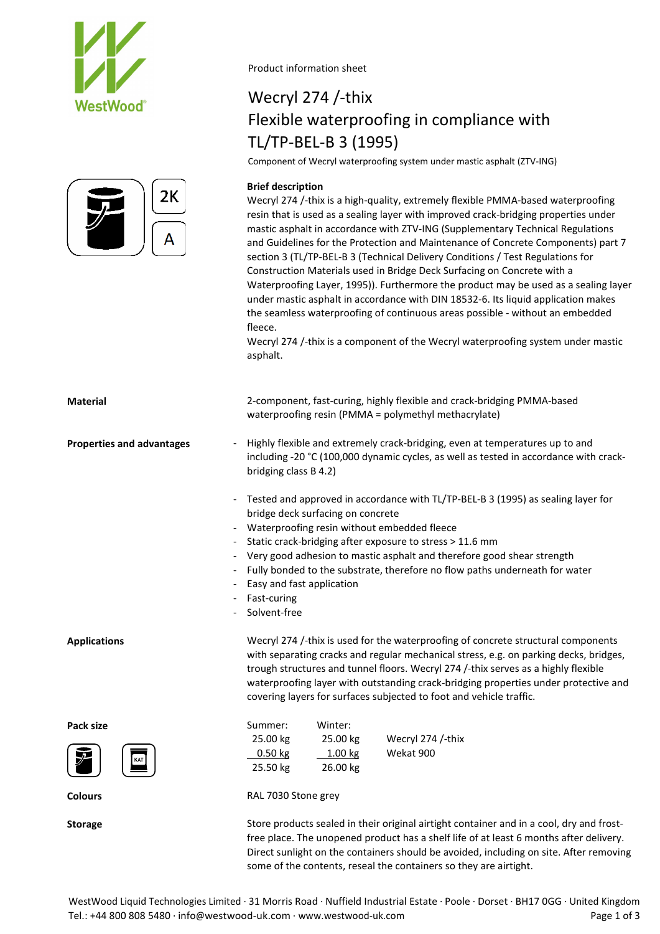



Product information sheet

# Wecryl 274 /-thix Flexible waterproofing in compliance with TL/TP-BEL-B 3 (1995)

Component of Wecryl waterproofing system under mastic asphalt (ZTV-ING)

### **Brief description**

Wecryl 274 /-thix is a high-quality, extremely flexible PMMA-based waterproofing resin that is used as a sealing layer with improved crack-bridging properties under mastic asphalt in accordance with ZTV-ING (Supplementary Technical Regulations and Guidelines for the Protection and Maintenance of Concrete Components) part 7 section 3 (TL/TP-BEL-B 3 (Technical Delivery Conditions / Test Regulations for Construction Materials used in Bridge Deck Surfacing on Concrete with a Waterproofing Layer, 1995)). Furthermore the product may be used as a sealing layer under mastic asphalt in accordance with DIN 18532-6. Its liquid application makes the seamless waterproofing of continuous areas possible - without an embedded fleece.

Wecryl 274 /-thix is a component of the Wecryl waterproofing system under mastic asphalt.

| <b>Material</b>                  | 2-component, fast-curing, highly flexible and crack-bridging PMMA-based<br>waterproofing resin (PMMA = polymethyl methacrylate)                                                                                                                                                                                                                                                                                                                         |  |  |  |  |  |  |
|----------------------------------|---------------------------------------------------------------------------------------------------------------------------------------------------------------------------------------------------------------------------------------------------------------------------------------------------------------------------------------------------------------------------------------------------------------------------------------------------------|--|--|--|--|--|--|
| <b>Properties and advantages</b> | Highly flexible and extremely crack-bridging, even at temperatures up to and<br>including -20 °C (100,000 dynamic cycles, as well as tested in accordance with crack-<br>bridging class B 4.2)                                                                                                                                                                                                                                                          |  |  |  |  |  |  |
| $\overline{\phantom{a}}$         | Tested and approved in accordance with TL/TP-BEL-B 3 (1995) as sealing layer for<br>bridge deck surfacing on concrete<br>Waterproofing resin without embedded fleece<br>Static crack-bridging after exposure to stress > 11.6 mm<br>- Very good adhesion to mastic asphalt and therefore good shear strength<br>Fully bonded to the substrate, therefore no flow paths underneath for water<br>Easy and fast application<br>Fast-curing<br>Solvent-free |  |  |  |  |  |  |
| <b>Applications</b>              | Wecryl 274 /-thix is used for the waterproofing of concrete structural components<br>with separating cracks and regular mechanical stress, e.g. on parking decks, bridges,<br>trough structures and tunnel floors. Wecryl 274 /-thix serves as a highly flexible<br>waterproofing layer with outstanding crack-bridging properties under protective and<br>covering layers for surfaces subjected to foot and vehicle traffic.                          |  |  |  |  |  |  |
| Pack size                        | Summer:<br>Winter:<br>25.00 kg<br>25.00 kg<br>Wecryl 274 /-thix<br>Wekat 900<br>1.00 kg<br>$0.50$ kg<br>26.00 kg<br>25.50 kg                                                                                                                                                                                                                                                                                                                            |  |  |  |  |  |  |
| <b>Colours</b>                   | RAL 7030 Stone grey                                                                                                                                                                                                                                                                                                                                                                                                                                     |  |  |  |  |  |  |
| <b>Storage</b>                   | Store products sealed in their original airtight container and in a cool, dry and frost-                                                                                                                                                                                                                                                                                                                                                                |  |  |  |  |  |  |

free place. The unopened product has a shelf life of at least 6 months after delivery. Direct sunlight on the containers should be avoided, including on site. After removing some of the contents, reseal the containers so they are airtight.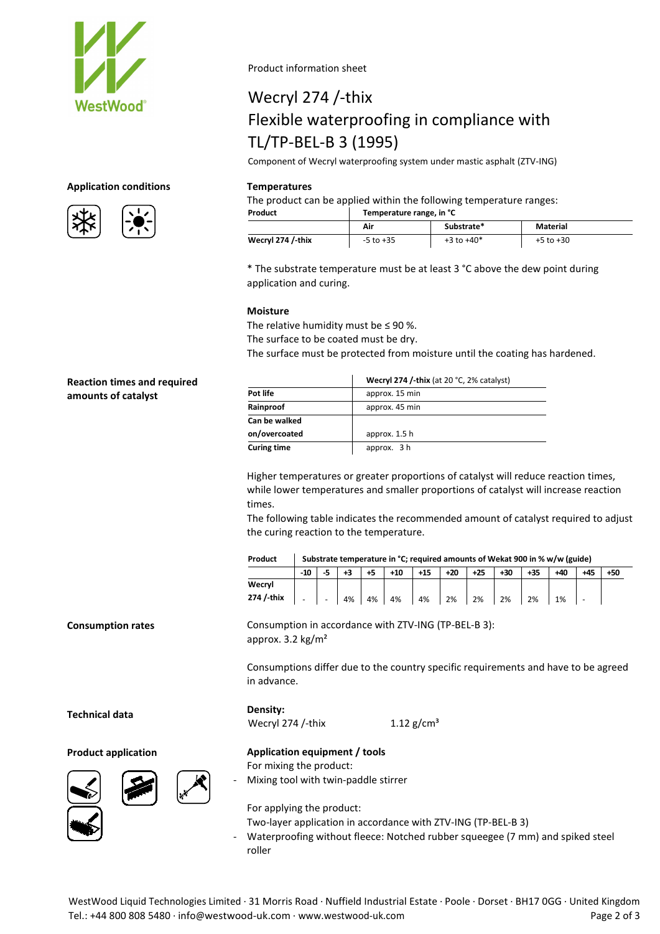

## **Application conditions Temperatures**

**Reaction times and required** 

**amounts of catalyst**



Product information sheet

# Wecryl 274 /-thix Flexible waterproofing in compliance with TL/TP-BEL-B 3 (1995)

Component of Wecryl waterproofing system under mastic asphalt (ZTV-ING)

The product can be applied within the following temperature ranges:

**Product Temperature range, in °C**

|                   | Air           | ---<br>Substrate* | <b>Material</b> |
|-------------------|---------------|-------------------|-----------------|
| Wecryl 274 /-thix | $-5$ to $+35$ | $+3$ to $+40*$    | +5 to +30       |

\* The substrate temperature must be at least 3 °C above the dew point during application and curing.

### **Moisture**

The relative humidity must be  $\leq$  90 %.

The surface to be coated must be dry.

The surface must be protected from moisture until the coating has hardened.

|               | Wecryl 274 /-thix (at 20 °C, 2% catalyst) |  |  |  |  |  |  |
|---------------|-------------------------------------------|--|--|--|--|--|--|
| Pot life      | approx. 15 min                            |  |  |  |  |  |  |
| Rainproof     | approx. 45 min                            |  |  |  |  |  |  |
| Can be walked |                                           |  |  |  |  |  |  |
| on/overcoated | approx. 1.5 h                             |  |  |  |  |  |  |
| Curing time   | approx. 3 h                               |  |  |  |  |  |  |

Higher temperatures or greater proportions of catalyst will reduce reaction times, while lower temperatures and smaller proportions of catalyst will increase reaction times.

The following table indicates the recommended amount of catalyst required to adjust the curing reaction to the temperature.

| Product    | Substrate temperature in °C; required amounts of Wekat 900 in % w/w (guide) |        |    |    |       |       |       |       |       |       |     |       |       |
|------------|-----------------------------------------------------------------------------|--------|----|----|-------|-------|-------|-------|-------|-------|-----|-------|-------|
|            | $-10$                                                                       |        | +3 |    | $+10$ | $+15$ | $+20$ | $+25$ | $+30$ | $+35$ | +40 | $+45$ | $+50$ |
| Wecrvl     |                                                                             |        |    |    |       |       |       |       |       |       |     |       |       |
| 274 / thix |                                                                             | $\sim$ | 4% | 4% | 4%    | 4%    | 2%    | 2%    | 2%    | 2%    | 1%  |       |       |

**Consumption rates**

Consumptions differ due to the country specific requirements and have to be agreed

**Technical data**

**Product application Application equipment / tools**





For applying the product:

For mixing the product:

Mixing tool with twin-paddle stirrer

Two-layer application in accordance with ZTV-ING (TP-BEL-B 3)

Waterproofing without fleece: Notched rubber squeegee (7 mm) and spiked steel roller

Consumption in accordance with ZTV-ING (TP-BEL-B 3): approx. 3.2 kg/m² in advance. **Density:** Wecryl 274 /-thix  $1.12 \text{ g/cm}^3$